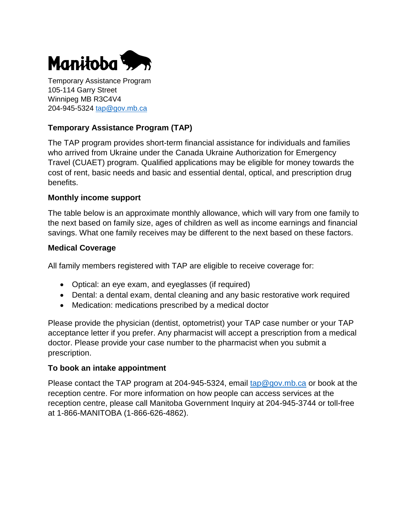

Temporary Assistance Program 105-114 Garry Street Winnipeg MB R3C4V4 204-945-5324 [tap@gov.mb.ca](mailto:tap@gov.mb.ca)

# **Temporary Assistance Program (TAP)**

The TAP program provides short-term financial assistance for individuals and families who arrived from Ukraine under the Canada Ukraine Authorization for Emergency Travel (CUAET) program. Qualified applications may be eligible for money towards the cost of rent, basic needs and basic and essential dental, optical, and prescription drug benefits.

#### **Monthly income support**

The table below is an approximate monthly allowance, which will vary from one family to the next based on family size, ages of children as well as income earnings and financial savings. What one family receives may be different to the next based on these factors.

### **Medical Coverage**

All family members registered with TAP are eligible to receive coverage for:

- Optical: an eye exam, and eyeglasses (if required)
- Dental: a dental exam, dental cleaning and any basic restorative work required
- Medication: medications prescribed by a medical doctor

Please provide the physician (dentist, optometrist) your TAP case number or your TAP acceptance letter if you prefer. Any pharmacist will accept a prescription from a medical doctor. Please provide your case number to the pharmacist when you submit a prescription.

#### **To book an intake appointment**

Please contact the TAP program at 204-945-5324, email  $tan@gov.mb.ca$  or book at the reception centre. For more information on how people can access services at the reception centre, please call Manitoba Government Inquiry at 204-945-3744 or toll-free at 1-866-MANITOBA (1-866-626-4862).